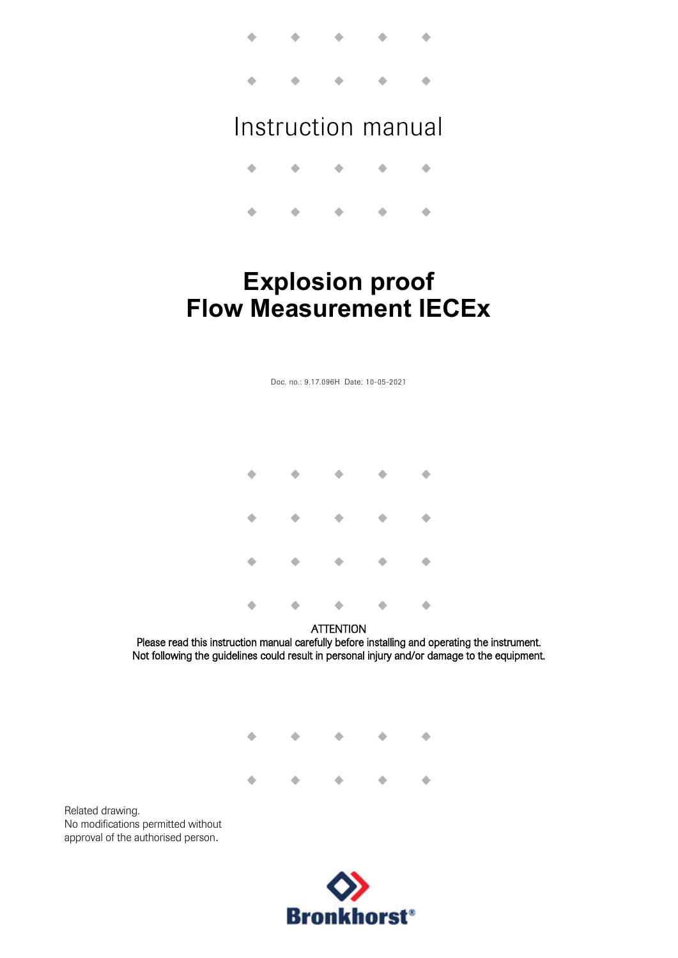۰ ۰ ▲  $\triangle$ ۸ ٠  $\ddot{\phantom{1}}$ 

# Instruction manual

۰ ۰ ۰ ۰ ۰ ۰  $\Phi$ ۰ ۵ ۰

## **Explosion proof Flow Measurement IECEx**

Doc. no.: 9.17.096H Date: 10-05-2021

۵.  $\begin{array}{c} \bullet \\ \bullet \end{array}$  $\Phi$ ۰ ۰  $\bullet$  $\ddot{\bullet}$ ۰ ۰ ۰ ۰ ۰ ۰ ۰ ۵ ٠  $\ddot{\phantom{a}}$ ä ä ö

#### **ATTENTION**

Please read this instruction manual carefully before installing and operating the instrument. Not following the guidelines could result in personal injury and/or damage to the equipment.

> ۵ ۵  $\bullet$  $\blacklozenge$ ۰  $\bullet$  .  $\ddot{\bullet}$ ۰  $\Phi$  $\Phi$

Related drawing. No modifications permitted without approval of the authorised person.

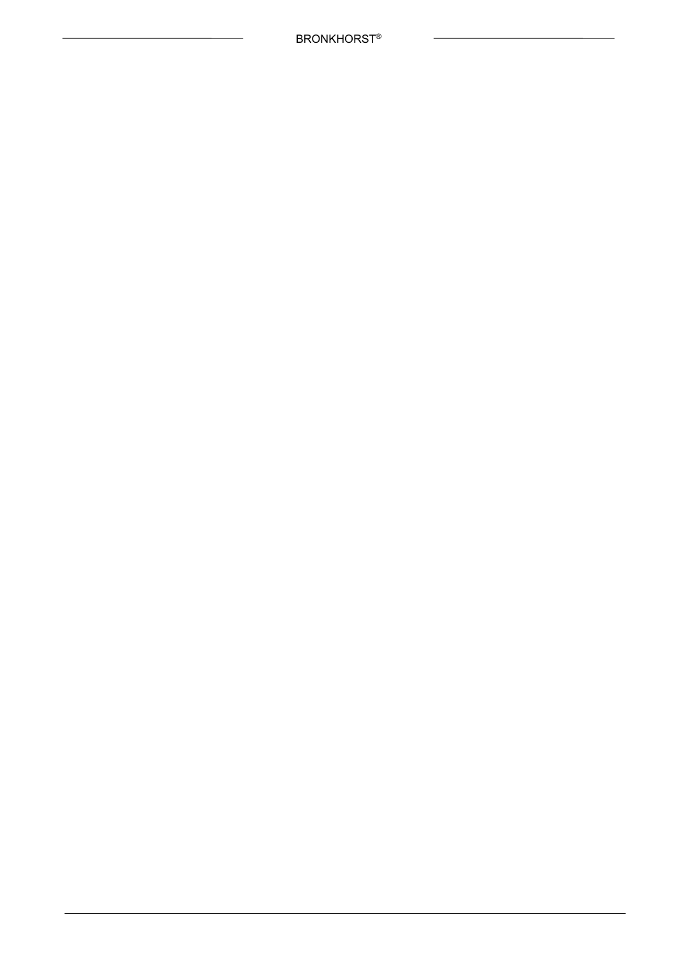**BRONKHORST®**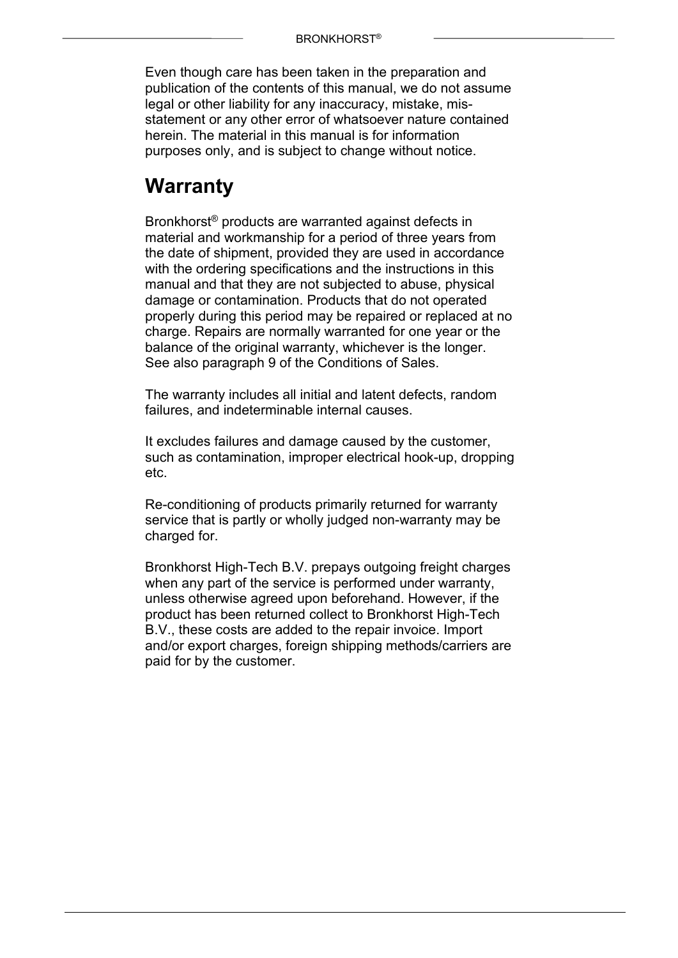Even though care has been taken in the preparation and publication of the contents of this manual, we do not assume legal or other liability for any inaccuracy, mistake, misstatement or any other error of whatsoever nature contained herein. The material in this manual is for information purposes only, and is subject to change without notice.

## **Warranty**

Bronkhorst® products are warranted against defects in material and workmanship for a period of three years from the date of shipment, provided they are used in accordance with the ordering specifications and the instructions in this manual and that they are not subjected to abuse, physical damage or contamination. Products that do not operated properly during this period may be repaired or replaced at no charge. Repairs are normally warranted for one year or the balance of the original warranty, whichever is the longer. See also paragraph 9 of the Conditions of Sales.

The warranty includes all initial and latent defects, random failures, and indeterminable internal causes.

It excludes failures and damage caused by the customer, such as contamination, improper electrical hook-up, dropping etc.

Re-conditioning of products primarily returned for warranty service that is partly or wholly judged non-warranty may be charged for.

Bronkhorst High-Tech B.V. prepays outgoing freight charges when any part of the service is performed under warranty, unless otherwise agreed upon beforehand. However, if the product has been returned collect to Bronkhorst High-Tech B.V., these costs are added to the repair invoice. Import and/or export charges, foreign shipping methods/carriers are paid for by the customer.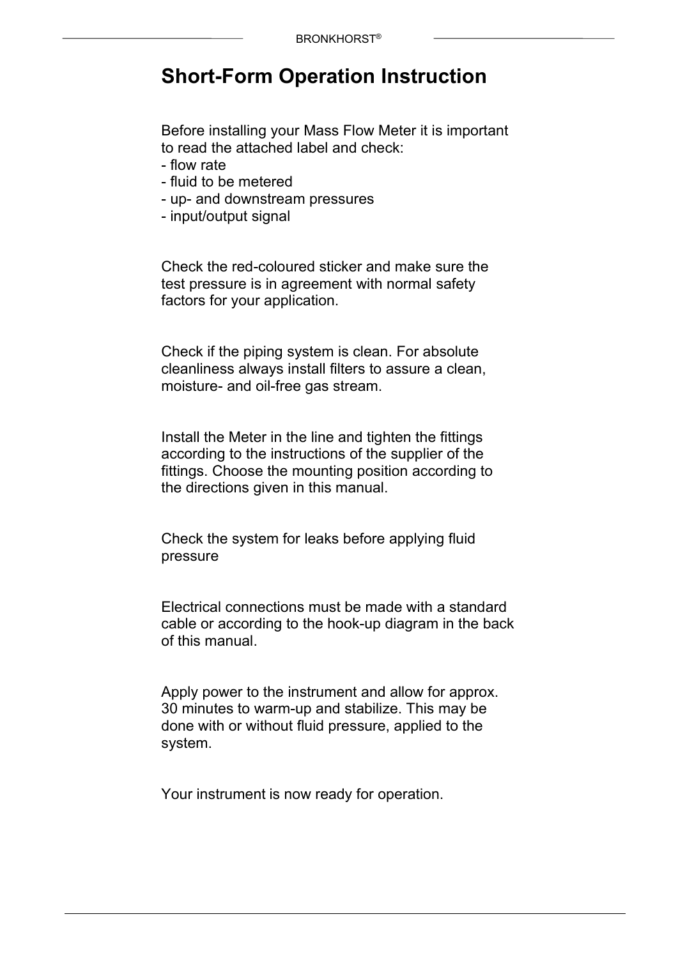## **Short-Form Operation Instruction**

Before installing your Mass Flow Meter it is important to read the attached label and check:

- flow rate
- fluid to be metered
- up- and downstream pressures
- input/output signal

Check the red-coloured sticker and make sure the test pressure is in agreement with normal safety factors for your application.

Check if the piping system is clean. For absolute cleanliness always install filters to assure a clean, moisture- and oil-free gas stream.

Install the Meter in the line and tighten the fittings according to the instructions of the supplier of the fittings. Choose the mounting position according to the directions given in this manual.

Check the system for leaks before applying fluid pressure

Electrical connections must be made with a standard cable or according to the hook-up diagram in the back of this manual.

Apply power to the instrument and allow for approx. 30 minutes to warm-up and stabilize. This may be done with or without fluid pressure, applied to the system.

Your instrument is now ready for operation.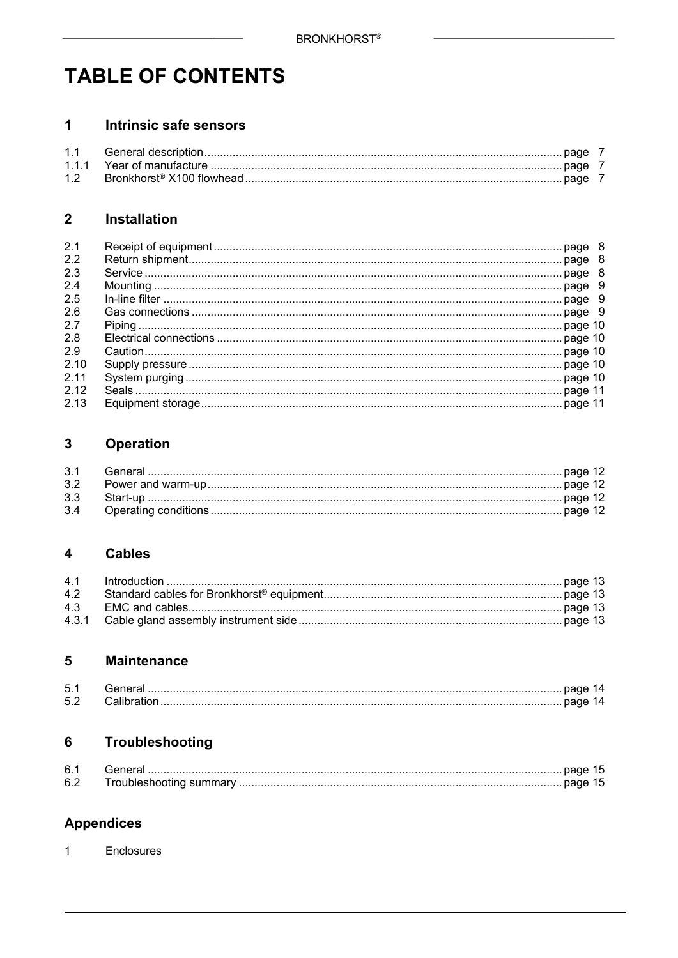# **TABLE OF CONTENTS**

#### $\overline{1}$ **Intrinsic safe sensors**

| 1.2 |  |  |
|-----|--|--|

#### $\overline{2}$ **Installation**

| 2.1<br>2.2 |  |  |
|------------|--|--|
| 2.3        |  |  |
| 2.4        |  |  |
| 2.5        |  |  |
| 2.6        |  |  |
| 2.7        |  |  |
| 2.8        |  |  |
| 2.9        |  |  |
| 2.10       |  |  |
| 2.11       |  |  |
| 212        |  |  |
| 2.13       |  |  |

#### $\mathbf{3}$ Operation

| 3.4 |  |
|-----|--|

#### **Cables**  $\overline{\mathbf{4}}$

| 4.2 |  |
|-----|--|
|     |  |
|     |  |

#### $5\overline{)}$ **Maintenance**

| 5.1 |  |
|-----|--|
|     |  |

#### $6\phantom{a}$ Troubleshooting

| 6.1 |  |  |
|-----|--|--|
| 6.2 |  |  |

## **Appendices**

 $1$ Enclosures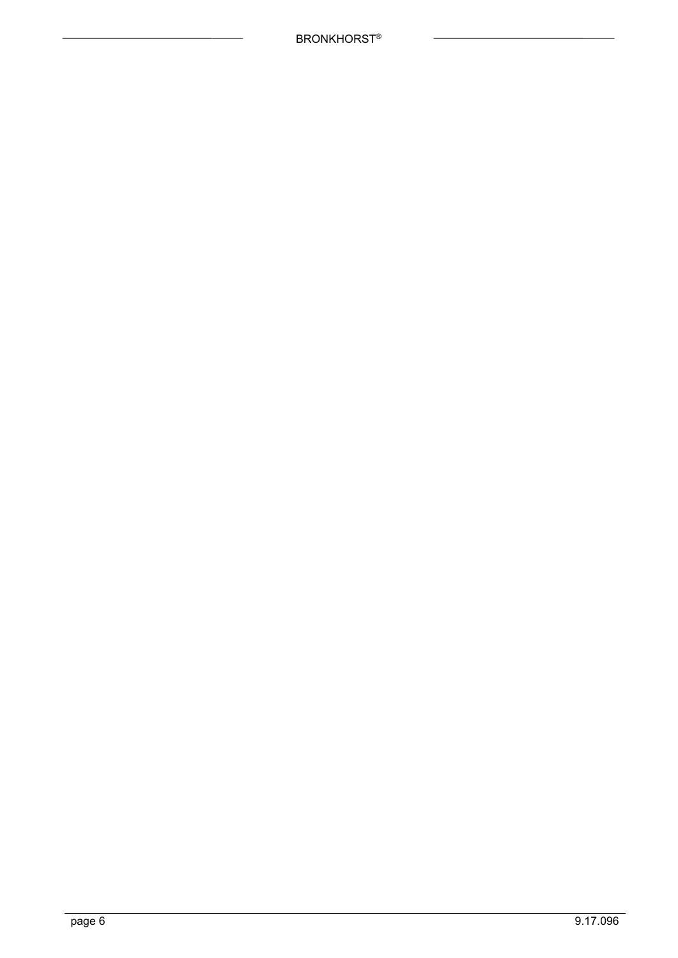**BRONKHORST®**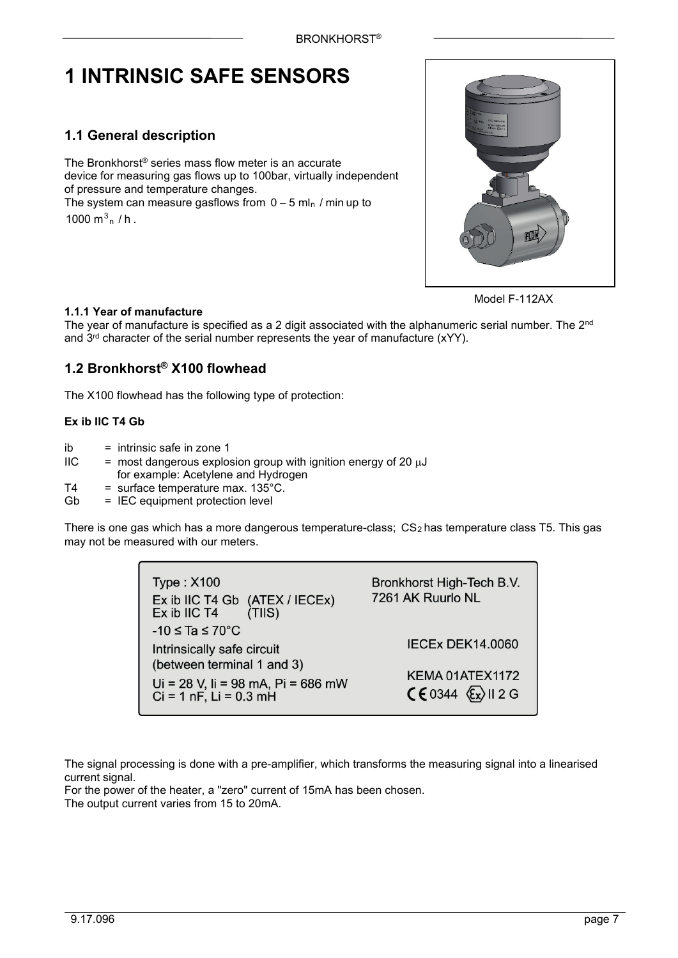# **1 INTRINSIC SAFE SENSORS**

## **1.1 General description**

The Bronkhorst® series mass flow meter is an accurate device for measuring gas flows up to 100bar, virtually independent of pressure and temperature changes. The system can measure gasflows from  $0 - 5$  mln / min up to

1000 m<sup>3</sup><sub>n</sub> / h.



Model F-112AX

### **1.1.1 Year of manufacture**

The year of manufacture is specified as a 2 digit associated with the alphanumeric serial number. The 2<sup>nd</sup> and 3<sup>rd</sup> character of the serial number represents the year of manufacture (xYY).

## **1.2 Bronkhorst® X100 flowhead**

The X100 flowhead has the following type of protection:

### **Ex ib IIC T4 Gb**

- $ib =$  intrinsic safe in zone 1<br> $\text{IIC} =$  most dangerous explo
- $=$  most dangerous explosion group with ignition energy of 20  $\mu$ J for example: Acetylene and Hydrogen
- T4 = surface temperature max. 135°C.
- Gb = IEC equipment protection level

There is one gas which has a more dangerous temperature-class;  $CS<sub>2</sub>$  has temperature class T5. This gas may not be measured with our meters.

| <b>Type: X100</b>                                            | Bronkhorst High-Tech B.V.                              |
|--------------------------------------------------------------|--------------------------------------------------------|
| Ex ib IIC T4 Gb (ATEX / IECEx)<br>Ex ib IIC T4 (TIIS)        | 7261 AK Ruurlo NL                                      |
| $-10 \leq Ta \leq 70^{\circ}C$<br>Intrinsically safe circuit | <b>IECEX DEK14,0060</b>                                |
| (between terminal 1 and 3)                                   | KEMA 01ATEX1172                                        |
| Ui = 28 V, Ii = 98 mA, Pi = 686 mW<br>Ci = 1 nF, Li = 0.3 mH | $C$ $C$ 0344 $\langle \overline{\xi} x \rangle$ II 2 G |

The signal processing is done with a pre-amplifier, which transforms the measuring signal into a linearised current signal.

For the power of the heater, a "zero" current of 15mA has been chosen. The output current varies from 15 to 20mA.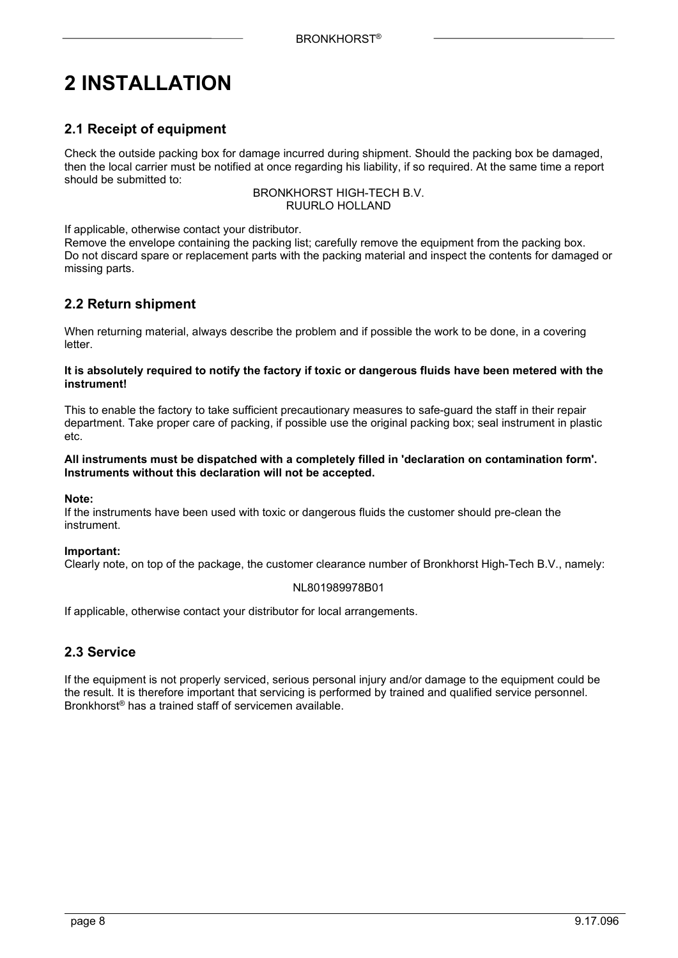## **2 INSTALLATION**

## **2.1 Receipt of equipment**

Check the outside packing box for damage incurred during shipment. Should the packing box be damaged, then the local carrier must be notified at once regarding his liability, if so required. At the same time a report should be submitted to:

> BRONKHORST HIGH-TECH B.V. RUURLO HOLLAND

If applicable, otherwise contact your distributor.

Remove the envelope containing the packing list; carefully remove the equipment from the packing box. Do not discard spare or replacement parts with the packing material and inspect the contents for damaged or missing parts.

## **2.2 Return shipment**

When returning material, always describe the problem and if possible the work to be done, in a covering letter.

### **It is absolutely required to notify the factory if toxic or dangerous fluids have been metered with the instrument!**

This to enable the factory to take sufficient precautionary measures to safe-guard the staff in their repair department. Take proper care of packing, if possible use the original packing box; seal instrument in plastic etc.

### **All instruments must be dispatched with a completely filled in 'declaration on contamination form'. Instruments without this declaration will not be accepted.**

### **Note:**

If the instruments have been used with toxic or dangerous fluids the customer should pre-clean the instrument.

### **Important:**

Clearly note, on top of the package, the customer clearance number of Bronkhorst High-Tech B.V., namely:

NL801989978B01

If applicable, otherwise contact your distributor for local arrangements.

## **2.3 Service**

If the equipment is not properly serviced, serious personal injury and/or damage to the equipment could be the result. It is therefore important that servicing is performed by trained and qualified service personnel. Bronkhorst® has a trained staff of servicemen available.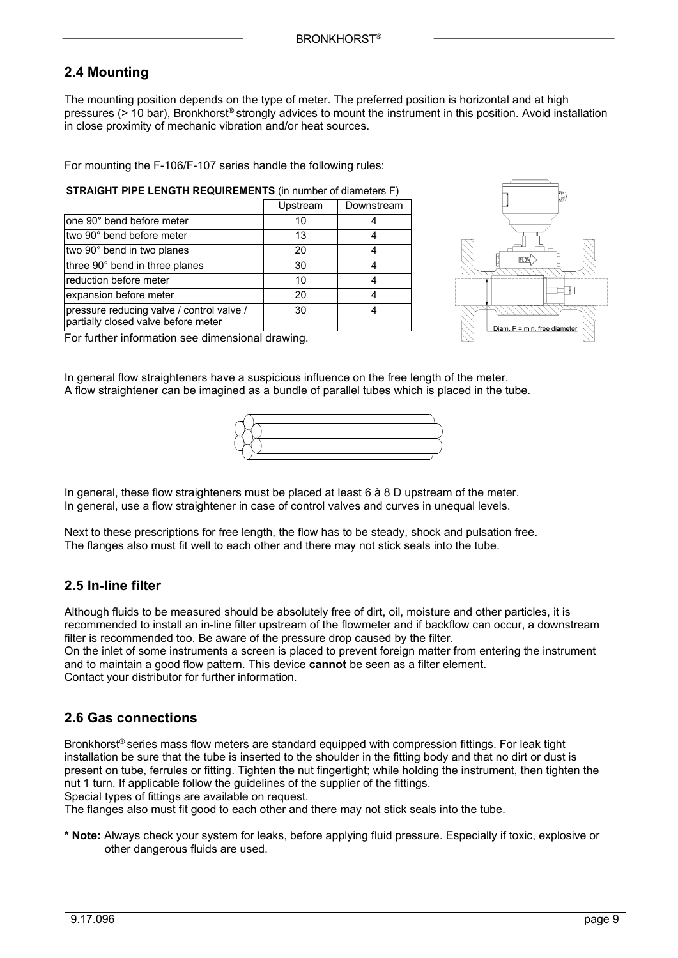## **2.4 Mounting**

The mounting position depends on the type of meter. The preferred position is horizontal and at high pressures (> 10 bar), Bronkhorst® strongly advices to mount the instrument in this position. Avoid installation in close proximity of mechanic vibration and/or heat sources.

For mounting the F-106/F-107 series handle the following rules:

|  | <b>STRAIGHT PIPE LENGTH REQUIREMENTS</b> (in number of diameters F) |
|--|---------------------------------------------------------------------|
|--|---------------------------------------------------------------------|

|                                                                                  | Upstream | Downstream |
|----------------------------------------------------------------------------------|----------|------------|
| one 90° bend before meter                                                        | 10       |            |
| two 90° bend before meter                                                        | 13       |            |
| two 90° bend in two planes                                                       | 20       |            |
| three 90° bend in three planes                                                   | 30       |            |
| reduction before meter                                                           | 10       |            |
| expansion before meter                                                           | 20       |            |
| pressure reducing valve / control valve /<br>partially closed valve before meter | 30       |            |



For further information see dimensional drawing.

In general flow straighteners have a suspicious influence on the free length of the meter. A flow straightener can be imagined as a bundle of parallel tubes which is placed in the tube.



In general, these flow straighteners must be placed at least 6 à 8 D upstream of the meter. In general, use a flow straightener in case of control valves and curves in unequal levels.

Next to these prescriptions for free length, the flow has to be steady, shock and pulsation free. The flanges also must fit well to each other and there may not stick seals into the tube.

### **2.5 In-line filter**

Although fluids to be measured should be absolutely free of dirt, oil, moisture and other particles, it is recommended to install an in-line filter upstream of the flowmeter and if backflow can occur, a downstream filter is recommended too. Be aware of the pressure drop caused by the filter.

On the inlet of some instruments a screen is placed to prevent foreign matter from entering the instrument and to maintain a good flow pattern. This device **cannot** be seen as a filter element. Contact your distributor for further information.

## **2.6 Gas connections**

Bronkhorst<sup>®</sup> series mass flow meters are standard equipped with compression fittings. For leak tight installation be sure that the tube is inserted to the shoulder in the fitting body and that no dirt or dust is present on tube, ferrules or fitting. Tighten the nut fingertight; while holding the instrument, then tighten the nut 1 turn. If applicable follow the guidelines of the supplier of the fittings.

Special types of fittings are available on request.

The flanges also must fit good to each other and there may not stick seals into the tube.

**\* Note:** Always check your system for leaks, before applying fluid pressure. Especially if toxic, explosive or other dangerous fluids are used.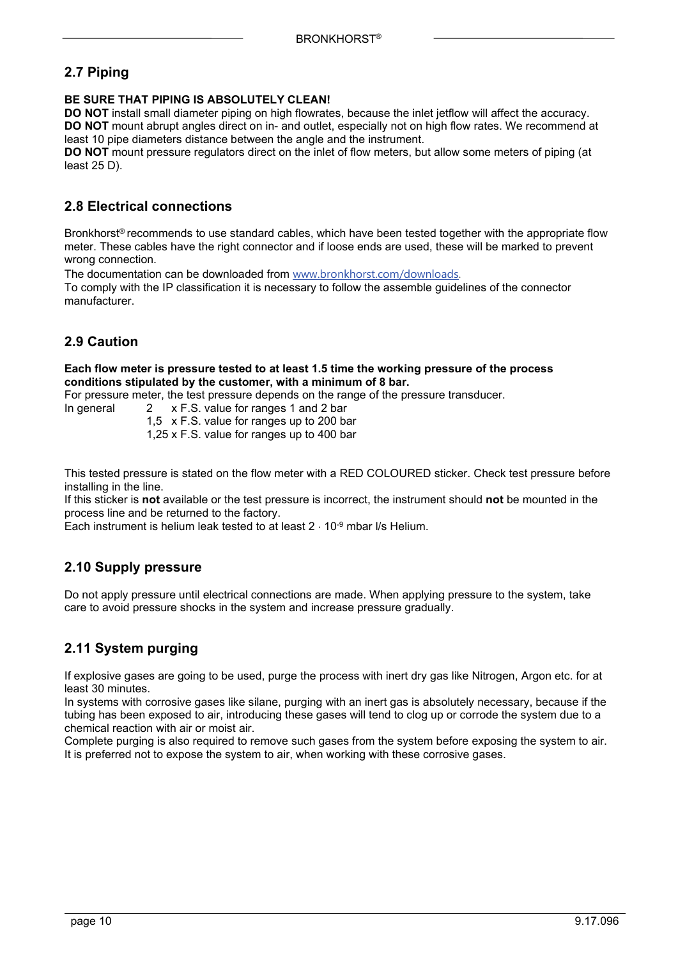## **2.7 Piping**

### **BE SURE THAT PIPING IS ABSOLUTELY CLEAN!**

**DO NOT** install small diameter piping on high flowrates, because the inlet jetflow will affect the accuracy. **DO NOT** mount abrupt angles direct on in- and outlet, especially not on high flow rates. We recommend at least 10 pipe diameters distance between the angle and the instrument.

**DO NOT** mount pressure regulators direct on the inlet of flow meters, but allow some meters of piping (at least 25 D).

### **2.8 Electrical connections**

Bronkhorst<sup>®</sup> recommends to use standard cables, which have been tested together with the appropriate flow meter. These cables have the right connector and if loose ends are used, these will be marked to prevent wrong connection.

The documentation can be downloaded from [www.bronkhorst.com/downloads.](http://www.bronkhorst.com/downloads)

To comply with the IP classification it is necessary to follow the assemble guidelines of the connector manufacturer.

## **2.9 Caution**

#### **Each flow meter is pressure tested to at least 1.5 time the working pressure of the process conditions stipulated by the customer, with a minimum of 8 bar.**

For pressure meter, the test pressure depends on the range of the pressure transducer.

- In general 2 x F.S. value for ranges 1 and 2 bar
	- 1,5 x F.S. value for ranges up to 200 bar
		- 1,25 x F.S. value for ranges up to 400 bar

This tested pressure is stated on the flow meter with a RED COLOURED sticker. Check test pressure before installing in the line.

If this sticker is **not** available or the test pressure is incorrect, the instrument should **not** be mounted in the process line and be returned to the factory.

Each instrument is helium leak tested to at least  $2 \cdot 10^{-9}$  mbar I/s Helium.

## **2.10 Supply pressure**

Do not apply pressure until electrical connections are made. When applying pressure to the system, take care to avoid pressure shocks in the system and increase pressure gradually.

## **2.11 System purging**

If explosive gases are going to be used, purge the process with inert dry gas like Nitrogen, Argon etc. for at least 30 minutes.

In systems with corrosive gases like silane, purging with an inert gas is absolutely necessary, because if the tubing has been exposed to air, introducing these gases will tend to clog up or corrode the system due to a chemical reaction with air or moist air.

Complete purging is also required to remove such gases from the system before exposing the system to air. It is preferred not to expose the system to air, when working with these corrosive gases.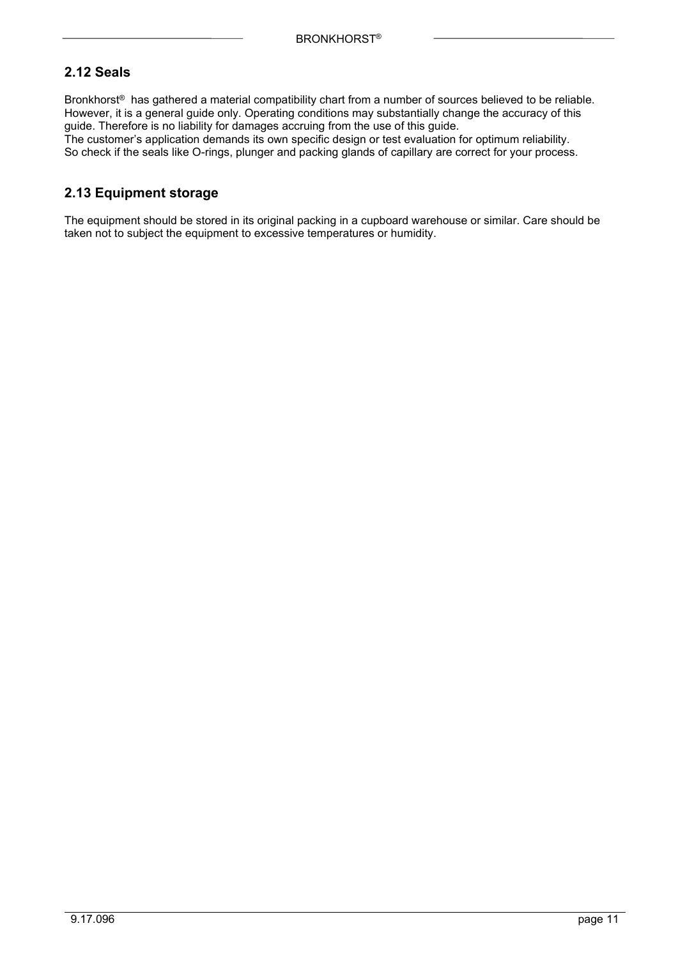## **2.12 Seals**

Bronkhorst® has gathered a material compatibility chart from a number of sources believed to be reliable. However, it is a general guide only. Operating conditions may substantially change the accuracy of this guide. Therefore is no liability for damages accruing from the use of this guide.

The customer's application demands its own specific design or test evaluation for optimum reliability. So check if the seals like O-rings, plunger and packing glands of capillary are correct for your process.

## **2.13 Equipment storage**

The equipment should be stored in its original packing in a cupboard warehouse or similar. Care should be taken not to subject the equipment to excessive temperatures or humidity.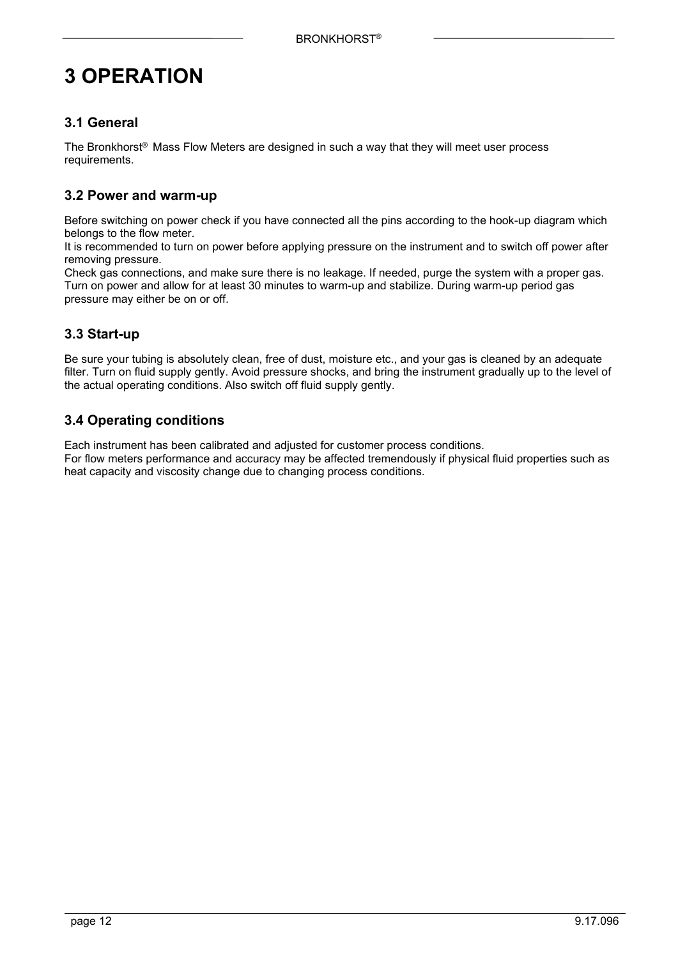# **3 OPERATION**

## **3.1 General**

The Bronkhorst® Mass Flow Meters are designed in such a way that they will meet user process requirements.

### **3.2 Power and warm-up**

Before switching on power check if you have connected all the pins according to the hook-up diagram which belongs to the flow meter.

It is recommended to turn on power before applying pressure on the instrument and to switch off power after removing pressure.

Check gas connections, and make sure there is no leakage. If needed, purge the system with a proper gas. Turn on power and allow for at least 30 minutes to warm-up and stabilize. During warm-up period gas pressure may either be on or off.

## **3.3 Start-up**

Be sure your tubing is absolutely clean, free of dust, moisture etc., and your gas is cleaned by an adequate filter. Turn on fluid supply gently. Avoid pressure shocks, and bring the instrument gradually up to the level of the actual operating conditions. Also switch off fluid supply gently.

### **3.4 Operating conditions**

Each instrument has been calibrated and adjusted for customer process conditions.

For flow meters performance and accuracy may be affected tremendously if physical fluid properties such as heat capacity and viscosity change due to changing process conditions.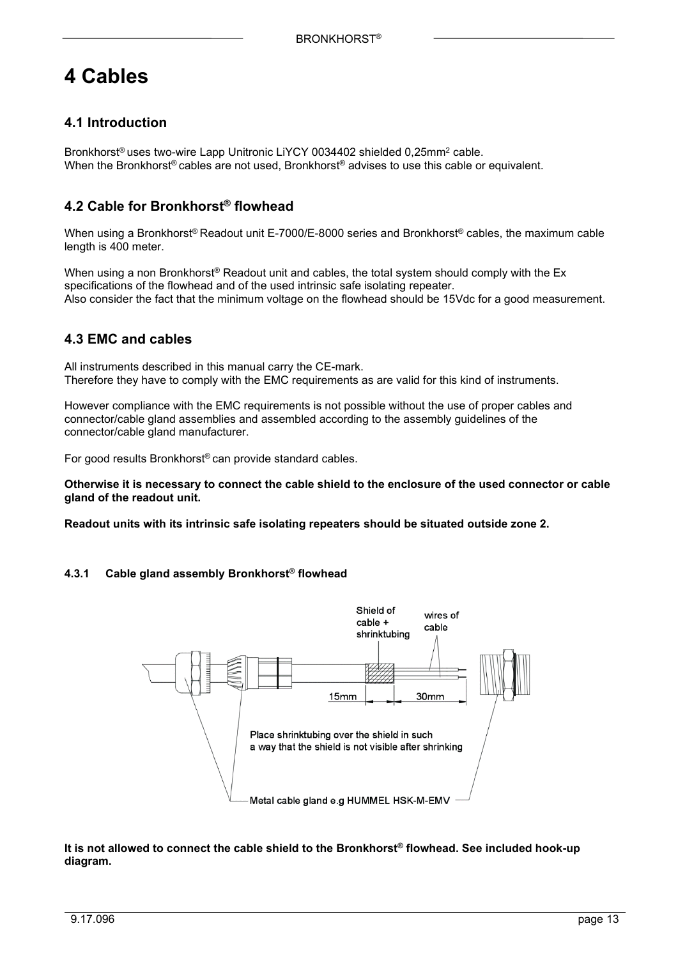## **4 Cables**

## **4.1 Introduction**

Bronkhorst® uses two-wire Lapp Unitronic LiYCY 0034402 shielded 0,25mm2 cable. When the Bronkhorst® cables are not used, Bronkhorst® advises to use this cable or equivalent.

## **4.2 Cable for Bronkhorst® flowhead**

When using a Bronkhorst® Readout unit E-7000/E-8000 series and Bronkhorst® cables, the maximum cable length is 400 meter.

When using a non Bronkhorst<sup>®</sup> Readout unit and cables, the total system should comply with the Ex specifications of the flowhead and of the used intrinsic safe isolating repeater. Also consider the fact that the minimum voltage on the flowhead should be 15Vdc for a good measurement.

## **4.3 EMC and cables**

All instruments described in this manual carry the CE-mark. Therefore they have to comply with the EMC requirements as are valid for this kind of instruments.

However compliance with the EMC requirements is not possible without the use of proper cables and connector/cable gland assemblies and assembled according to the assembly guidelines of the connector/cable gland manufacturer.

For good results Bronkhorst® can provide standard cables.

**Otherwise it is necessary to connect the cable shield to the enclosure of the used connector or cable gland of the readout unit.**

**Readout units with its intrinsic safe isolating repeaters should be situated outside zone 2.**

### **4.3.1 Cable gland assembly Bronkhorst® flowhead**



**It is not allowed to connect the cable shield to the Bronkhorst® flowhead. See included hook-up diagram.**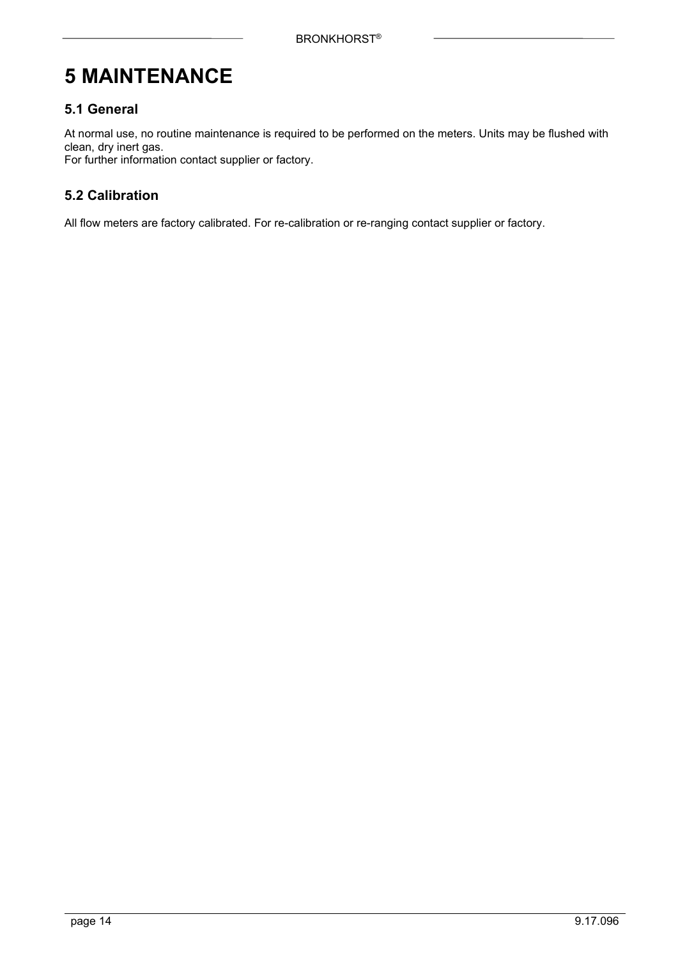## **5 MAINTENANCE**

## **5.1 General**

At normal use, no routine maintenance is required to be performed on the meters. Units may be flushed with clean, dry inert gas.

For further information contact supplier or factory.

## **5.2 Calibration**

All flow meters are factory calibrated. For re-calibration or re-ranging contact supplier or factory.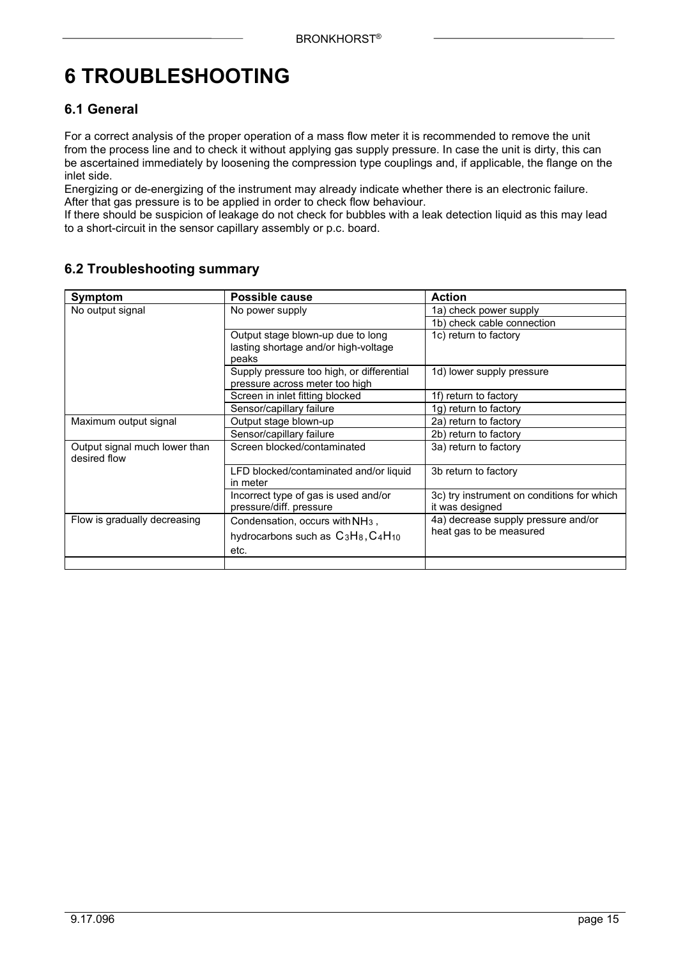# **6 TROUBLESHOOTING**

## **6.1 General**

For a correct analysis of the proper operation of a mass flow meter it is recommended to remove the unit from the process line and to check it without applying gas supply pressure. In case the unit is dirty, this can be ascertained immediately by loosening the compression type couplings and, if applicable, the flange on the inlet side.

Energizing or de-energizing of the instrument may already indicate whether there is an electronic failure. After that gas pressure is to be applied in order to check flow behaviour.

If there should be suspicion of leakage do not check for bubbles with a leak detection liquid as this may lead to a short-circuit in the sensor capillary assembly or p.c. board.

## **6.2 Troubleshooting summary**

| <b>Symptom</b>                                | Possible cause                                                              | <b>Action</b>                                                 |
|-----------------------------------------------|-----------------------------------------------------------------------------|---------------------------------------------------------------|
| No output signal                              | No power supply                                                             | 1a) check power supply                                        |
|                                               |                                                                             | 1b) check cable connection                                    |
|                                               | Output stage blown-up due to long                                           | 1c) return to factory                                         |
|                                               | lasting shortage and/or high-voltage<br>peaks                               |                                                               |
|                                               | Supply pressure too high, or differential<br>pressure across meter too high | 1d) lower supply pressure                                     |
|                                               | Screen in inlet fitting blocked                                             | 1f) return to factory                                         |
|                                               | Sensor/capillary failure                                                    | 1g) return to factory                                         |
| Maximum output signal                         | Output stage blown-up                                                       | 2a) return to factory                                         |
|                                               | Sensor/capillary failure                                                    | 2b) return to factory                                         |
| Output signal much lower than<br>desired flow | Screen blocked/contaminated                                                 | 3a) return to factory                                         |
|                                               | LFD blocked/contaminated and/or liquid<br>in meter                          | 3b return to factory                                          |
|                                               | Incorrect type of gas is used and/or<br>pressure/diff. pressure             | 3c) try instrument on conditions for which<br>it was designed |
| Flow is gradually decreasing                  | Condensation, occurs with NH <sub>3</sub> ,                                 | 4a) decrease supply pressure and/or                           |
|                                               | hydrocarbons such as $C_3H_8$ , $C_4H_{10}$                                 | heat gas to be measured                                       |
|                                               | etc.                                                                        |                                                               |
|                                               |                                                                             |                                                               |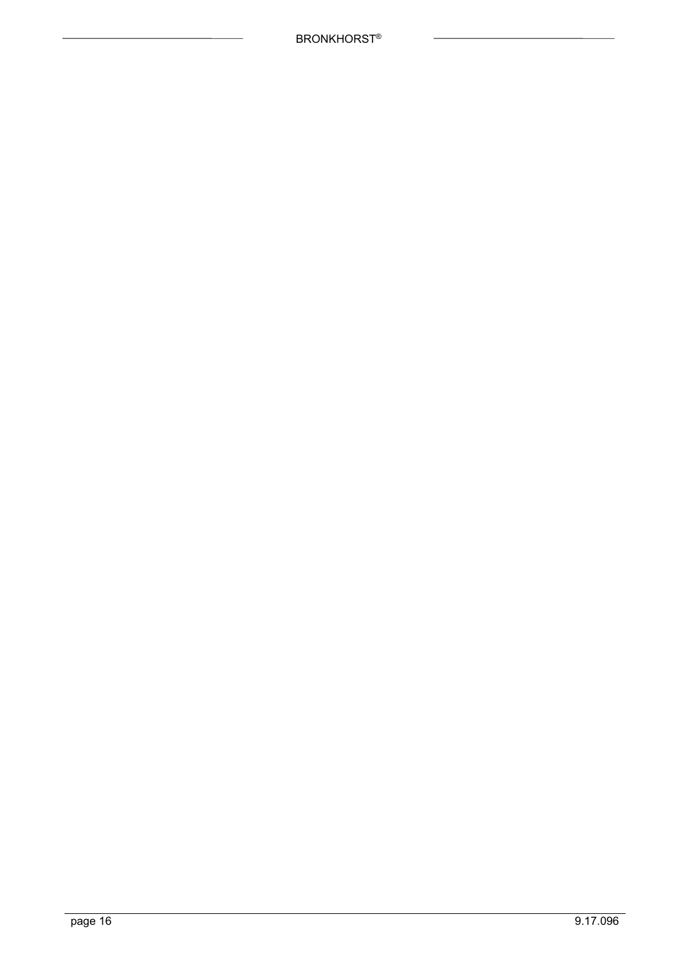**BRONKHORST®**